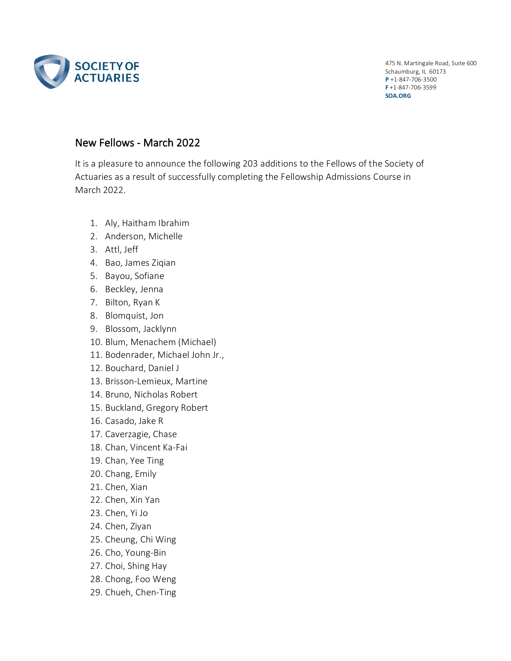

475 N. Martingale Road, Suite 600 Schaumburg, IL 60173 **P** +1-847-706-3500 **F** +1-847-706-3599 **SOA.ORG**

## New Fellows - March 2022

It is a pleasure to announce the following 203 additions to the Fellows of the Society of Actuaries as a result of successfully completing the Fellowship Admissions Course in March 2022.

- 1. Aly, Haitham Ibrahim
- 2. Anderson, Michelle
- 3. Attl, Jeff
- 4. Bao, James Ziqian
- 5. Bayou, Sofiane
- 6. Beckley, Jenna
- 7. Bilton, Ryan K
- 8. Blomquist, Jon
- 9. Blossom, Jacklynn
- 10. Blum, Menachem (Michael)
- 11. Bodenrader, Michael John Jr.,
- 12. Bouchard, Daniel J
- 13. Brisson-Lemieux, Martine
- 14. Bruno, Nicholas Robert
- 15. Buckland, Gregory Robert
- 16. Casado, Jake R
- 17. Caverzagie, Chase
- 18. Chan, Vincent Ka-Fai
- 19. Chan, Yee Ting
- 20. Chang, Emily
- 21. Chen, Xian
- 22. Chen, Xin Yan
- 23. Chen, Yi Jo
- 24. Chen, Ziyan
- 25. Cheung, Chi Wing
- 26. Cho, Young-Bin
- 27. Choi, Shing Hay
- 28. Chong, Foo Weng
- 29. Chueh, Chen-Ting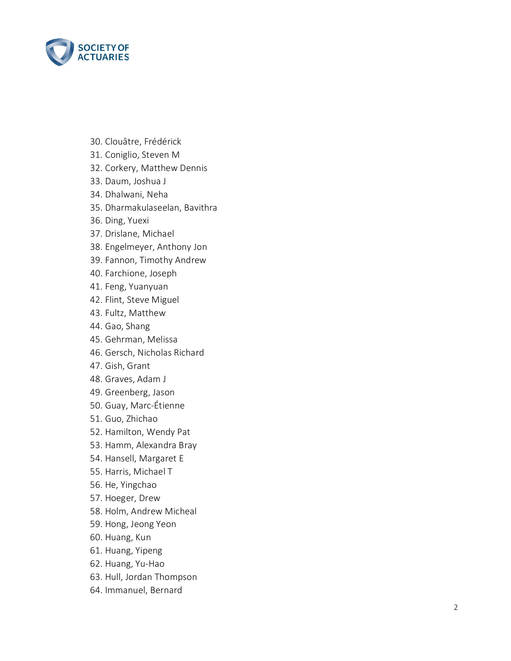

- 30. Clouâtre, Frédérick
- 31. Coniglio, Steven M
- 32. Corkery, Matthew Dennis
- 33. Daum, Joshua J
- 34. Dhalwani, Neha
- 35. Dharmakulaseelan, Bavithra
- 36. Ding, Yuexi
- 37. Drislane, Michael
- 38. Engelmeyer, Anthony Jon
- 39. Fannon, Timothy Andrew
- 40. Farchione, Joseph
- 41. Feng, Yuanyuan
- 42. Flint, Steve Miguel
- 43. Fultz, Matthew
- 44. Gao, Shang
- 45. Gehrman, Melissa
- 46. Gersch, Nicholas Richard
- 47. Gish, Grant
- 48. Graves, Adam J
- 49. Greenberg, Jason
- 50. Guay, Marc -Étienne
- 51. Guo, Zhichao
- 52. Hamilton, Wendy Pat
- 53. Hamm, Alexandra Bray
- 54. Hansell, Margaret E
- 55. Harris, Michael T
- 56. He, Yingchao
- 57. Hoeger, Drew
- 58. Holm, Andrew Micheal
- 59. Hong, Jeong Yeon
- 60. Huang, Kun
- 61. Huang, Yipeng
- 62. Huang, Yu -Hao
- 63. Hull, Jordan Thompson
- 64. Immanuel, Bernard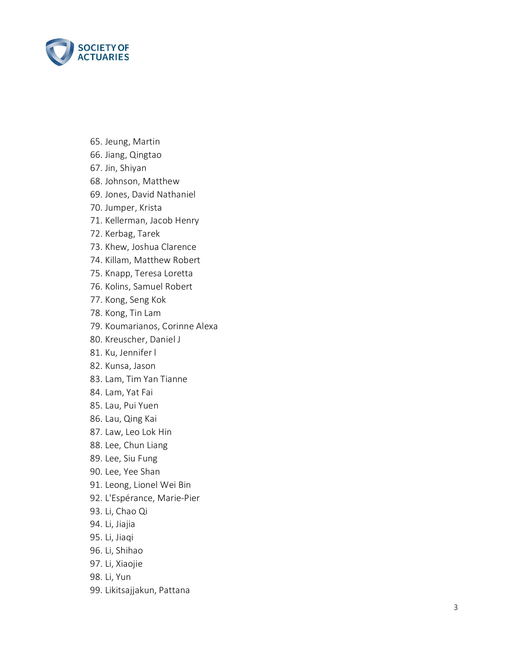

- 65. Jeung, Martin
- 66. Jiang, Qingtao
- 67. Jin, Shiyan
- 68. Johnson, Matthew
- 69. Jones, David Nathaniel
- 70. Jumper, Krista
- 71. Kellerman, Jacob Henry
- 72. Kerbag, Tarek
- 73. Khew, Joshua Clarence
- 74. Killam, Matthew Robert
- 75. Knapp, Teresa Loretta
- 76. Kolins, Samuel Robert
- 77. Kong, Seng Kok
- 78. Kong, Tin Lam
- 79. Koumarianos, Corinne Alexa
- 80. Kreuscher, Daniel J
- 81. Ku, Jennifer l
- 82. Kunsa, Jason
- 83. Lam, Tim Yan Tianne
- 84. Lam, Yat Fai
- 85. Lau, Pui Yuen
- 86. Lau, Qing Kai
- 87. Law, Leo Lok Hin
- 88. Lee, Chun Liang
- 89. Lee, Siu Fung
- 90. Lee, Yee Shan
- 91. Leong, Lionel Wei Bin
- 92. L'Espérance, Marie -Pier
- 93. Li, Chao Qi
- 94. Li, Jiajia
- 95. Li, Jiaqi
- 96. Li, Shihao
- 97. Li, Xiaojie
- 98. Li, Yun
- 99. Likitsajjakun, Pattana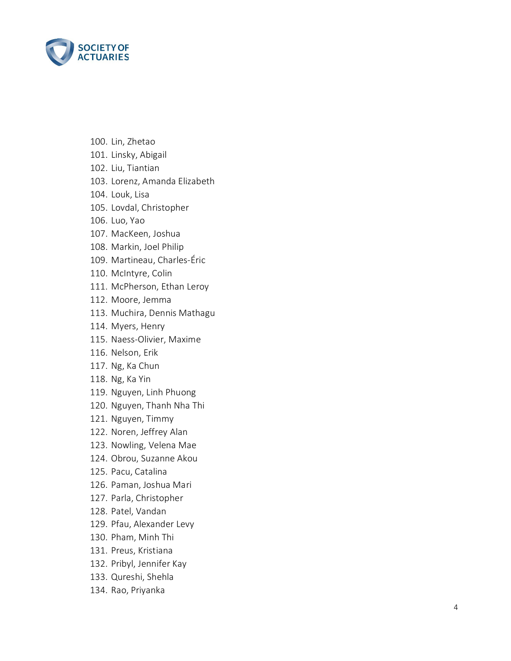

- 100. Lin, Zhetao
- 101. Linsky, Abigail
- 102. Liu, Tiantian
- 103. Lorenz, Amanda Elizabeth
- 104. Louk, Lisa
- 105. Lovdal, Christopher
- 106. Luo, Yao
- 107. MacKeen, Joshua
- 108. Markin, Joel Philip
- 109. Martineau, Charles -Éric
- 110. McIntyre, Colin
- 111. McPherson, Ethan Leroy
- 112. Moore, Jemma
- 113. Muchira, Dennis Mathagu
- 114. Myers, Henry
- 115. Naess -Olivier, Maxime
- 116. Nelson, Erik
- 117. Ng, Ka Chun
- 118. Ng, Ka Yin
- 119. Nguyen, Linh Phuong
- 120. Nguyen, Thanh Nha Thi
- 121. Nguyen, Timmy
- 122. Noren, Jeffrey Alan
- 123. Nowling, Velena Mae
- 124. Obrou, Suzanne Akou
- 125. Pacu, Catalina
- 126. Paman, Joshua Mari
- 127. Parla, Christopher
- 128. Patel, Vandan
- 129. Pfau, Alexander Levy
- 130. Pham, Minh Thi
- 131. Preus, Kristiana
- 132. Pribyl, Jennifer Kay
- 133. Qureshi, Shehla
- 134. Rao, Priyanka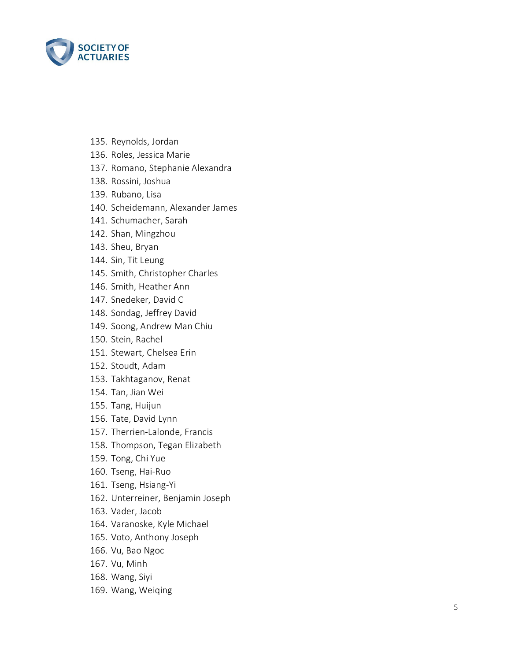

- 135. Reynolds, Jordan
- 136. Roles, Jessica Marie
- 137. Romano, Stephanie Alexandra
- 138. Rossini, Joshua
- 139. Rubano, Lisa
- 140. Scheidemann, Alexander James
- 141. Schumacher, Sarah
- 142. Shan, Mingzhou
- 143. Sheu, Bryan
- 144. Sin, Tit Leung
- 145. Smith, Christopher Charles
- 146. Smith, Heather Ann
- 147. Snedeker, David C
- 148. Sondag, Jeffrey David
- 149. Soong, Andrew Man Chiu
- 150. Stein, Rachel
- 151. Stewart, Chelsea Erin
- 152. Stoudt, Adam
- 153. Takhtaganov, Renat
- 154. Tan, Jian Wei
- 155. Tang, Huijun
- 156. Tate, David Lynn
- 157. Therrien -Lalonde, Francis
- 158. Thompson, Tegan Elizabeth
- 159. Tong, Chi Yue
- 160. Tseng, Hai -Ruo
- 161. Tseng, Hsiang -Yi
- 162. Unterreiner, Benjamin Joseph
- 163. Vader, Jacob
- 164. Varanoske, Kyle Michael
- 165. Voto, Anthony Joseph
- 166. Vu, Bao Ngoc
- 167. Vu, Minh
- 168. Wang, Siyi
- 169. Wang, Weiqing